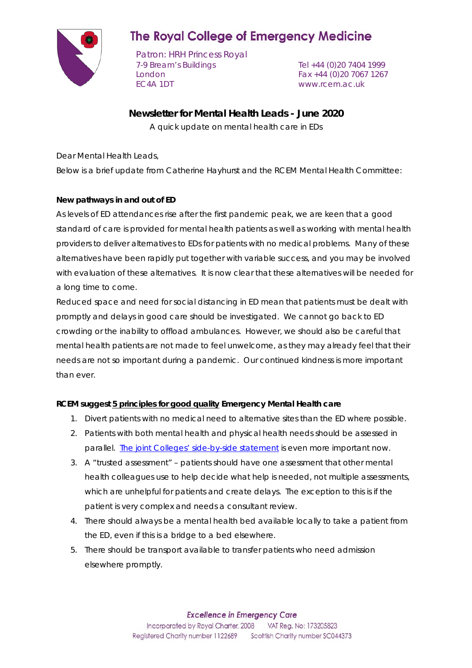

# **The Royal College of Emergency Medicine**

Patron: HRH Princess Royal 7-9 Bream's Buildings Tel +44 (0)20 7404 1999 London Fax +44 (0)20 7067 1267 EC4A 1DT www.rcem.ac.uk

# **Newsletter for Mental Health Leads - June 2020**

A quick update on mental health care in EDs

Dear Mental Health Leads,

Below is a brief update from Catherine Hayhurst and the RCEM Mental Health Committee:

# **New pathways in and out of ED**

As levels of ED attendances rise after the first pandemic peak, we are keen that a good standard of care is provided for mental health patients as well as working with mental health providers to deliver alternatives to EDs for patients with no medical problems. Many of these alternatives have been rapidly put together with variable success, and you may be involved with evaluation of these alternatives. It is now clear that these alternatives will be needed for a long time to come.

Reduced space and need for social distancing in ED mean that patients must be dealt with promptly and delays in good care should be investigated. We cannot go back to ED crowding or the inability to offload ambulances. However, we should also be careful that mental health patients are not made to feel unwelcome, as they may already feel that their needs are not so important during a pandemic. Our continued kindness is more important than ever.

#### **RCEM suggest 5 principles for good quality Emergency Mental Health care**

- 1. Divert patients with no medical need to alternative sites than the ED where possible.
- 2. Patients with both mental health and physical health needs should be assessed in parallel. The joint Colleges' [side-by-side statement](https://www.rcpsych.ac.uk/docs/default-source/members/faculties/liaison-psychiatry/liaison-sidebyside.pdf) is even more important now.
- 3. A "trusted assessment" patients should have one assessment that other mental health colleagues use to help decide what help is needed, not multiple assessments, which are unhelpful for patients and create delays. The exception to this is if the patient is very complex and needs a consultant review.
- 4. There should always be a mental health bed available locally to take a patient from the ED, even if this is a bridge to a bed elsewhere.
- 5. There should be transport available to transfer patients who need admission elsewhere promptly.